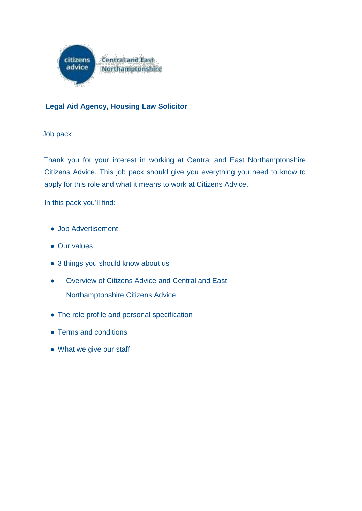

# **Legal Aid Agency, Housing Law Solicitor**

Job pack

Thank you for your interest in working at Central and East Northamptonshire Citizens Advice. This job pack should give you everything you need to know to apply for this role and what it means to work at Citizens Advice.

In this pack you'll find:

- Job Advertisement
- Our values
- 3 things you should know about us
- Overview of Citizens Advice and Central and East Northamptonshire Citizens Advice
- The role profile and personal specification
- Terms and conditions
- What we give our staff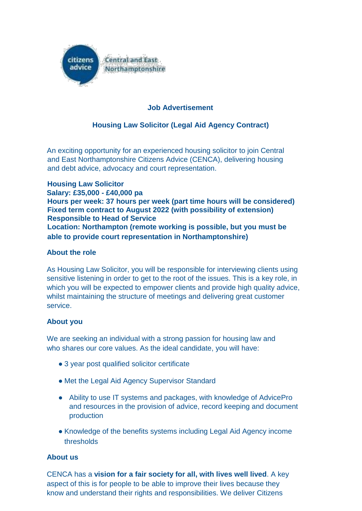

# **Job Advertisement**

# **Housing Law Solicitor (Legal Aid Agency Contract)**

An exciting opportunity for an experienced housing solicitor to join Central and East Northamptonshire Citizens Advice (CENCA), delivering housing and debt advice, advocacy and court representation.

**Housing Law Solicitor Salary: £35,000 - £40,000 pa Hours per week: 37 hours per week (part time hours will be considered) Fixed term contract to August 2022 (with possibility of extension) Responsible to Head of Service Location: Northampton (remote working is possible, but you must be able to provide court representation in Northamptonshire)**

#### **About the role**

As Housing Law Solicitor, you will be responsible for interviewing clients using sensitive listening in order to get to the root of the issues. This is a key role, in which you will be expected to empower clients and provide high quality advice, whilst maintaining the structure of meetings and delivering great customer service.

#### **About you**

We are seeking an individual with a strong passion for housing law and who shares our core values. As the ideal candidate, you will have:

- 3 year post qualified solicitor certificate
- Met the Legal Aid Agency Supervisor Standard
- Ability to use IT systems and packages, with knowledge of AdvicePro and resources in the provision of advice, record keeping and document production
- Knowledge of the benefits systems including Legal Aid Agency income thresholds

#### **About us**

CENCA has a **vision for a fair society for all, with lives well lived**. A key aspect of this is for people to be able to improve their lives because they know and understand their rights and responsibilities. We deliver Citizens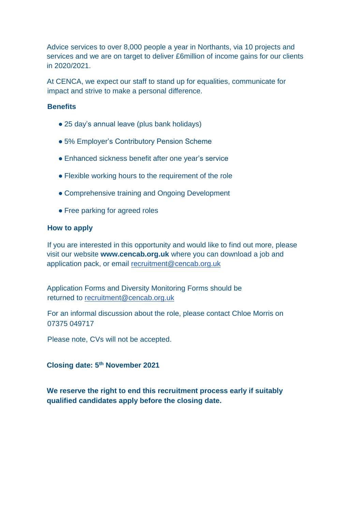Advice services to over 8,000 people a year in Northants, via 10 projects and services and we are on target to deliver £6million of income gains for our clients in 2020/2021.

At CENCA, we expect our staff to stand up for equalities, communicate for impact and strive to make a personal difference.

#### **Benefits**

- 25 day's annual leave (plus bank holidays)
- 5% Employer's Contributory Pension Scheme
- Enhanced sickness benefit after one year's service
- Flexible working hours to the requirement of the role
- Comprehensive training and Ongoing Development
- Free parking for agreed roles

#### **How to apply**

If you are interested in this opportunity and would like to find out more, please visit our website **www.cencab.org.uk** where you can download a job and application pack, or email recruitment@cencab.org.uk

Application Forms and Diversity Monitoring Forms should be returned to recruitment@cencab.org.uk

For an informal discussion about the role, please contact Chloe Morris on 07375 049717

Please note, CVs will not be accepted.

#### **Closing date: 5th November 2021**

**We reserve the right to end this recruitment process early if suitably qualified candidates apply before the closing date.**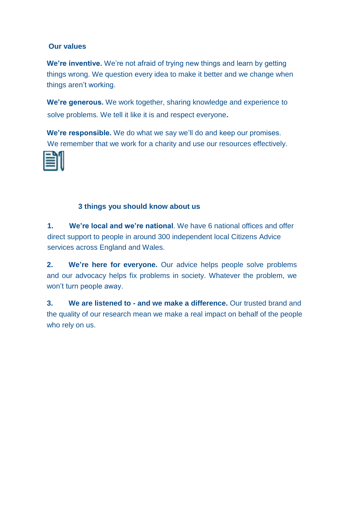## **Our values**

**We're inventive.** We're not afraid of trying new things and learn by getting things wrong. We question every idea to make it better and we change when things aren't working.

**We're generous.** We work together, sharing knowledge and experience to solve problems. We tell it like it is and respect everyone**.**

**We're responsible.** We do what we say we'll do and keep our promises. We remember that we work for a charity and use our resources effectively.



# **3 things you should know about us**

**1. We're local and we're national**. We have 6 national offices and offer direct support to people in around 300 independent local Citizens Advice services across England and Wales.

**2. We're here for everyone.** Our advice helps people solve problems and our advocacy helps fix problems in society. Whatever the problem, we won't turn people away.

**3. We are listened to - and we make a difference.** Our trusted brand and the quality of our research mean we make a real impact on behalf of the people who rely on us.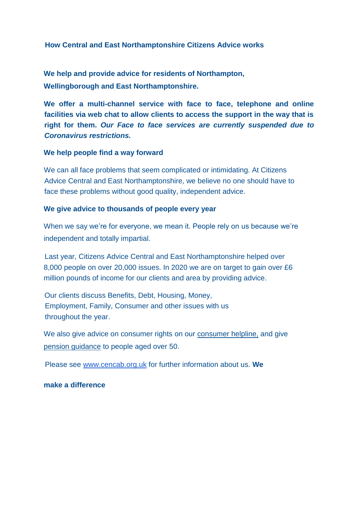#### **How Central and East Northamptonshire Citizens Advice works**

**We help and provide advice for residents of Northampton, Wellingborough and East Northamptonshire.**

**We offer a multi-channel service with face to face, telephone and online facilities via web chat to allow clients to access the support in the way that is right for them.** *Our Face to face services are currently suspended due to Coronavirus restrictions.*

#### **We help people find a way forward**

We can all face problems that seem complicated or intimidating. At Citizens Advice Central and East Northamptonshire, we believe no one should have to face these problems without good quality, independent advice.

#### **We give advice to thousands of people every year**

When we say we're for everyone, we mean it. People rely on us because we're independent and totally impartial.

Last year, Citizens Advice Central and East Northamptonshire helped over 8,000 people on over 20,000 issues. In 2020 we are on target to gain over £6 million pounds of income for our clients and area by providing advice.

Our clients discuss Benefits, Debt, Housing, Money, Employment, Family, Consumer and other issues with us throughout the year.

We also give advice on consumer rights on our consumer helpline, and give pension guidance to people aged over 50.

Please see www.cencab.org.uk for further information about us. **We**

#### **make a difference**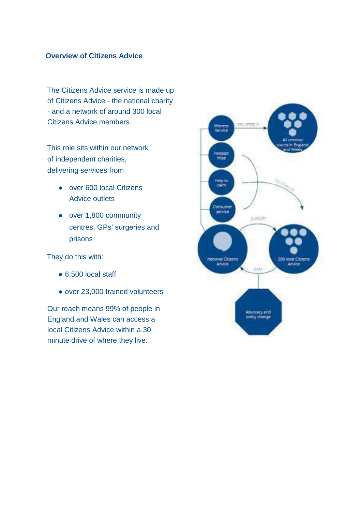#### **Overview of Citizens Advice**

The Citizens Advice service is made up of Citizens Advice - the national charity - and a network of around 300 local Citizens Advice members.

This role sits within our network of independent charities, delivering services from

- over 600 local Citizens Advice outlets
- over 1,800 community centres, GPs' surgeries and prisons

They do this with:

- 6,500 local staff
- over 23,000 trained volunteers

Our reach means 99% of people in England and Wales can access a local Citizens Advice within a 30 minute drive of where they live.

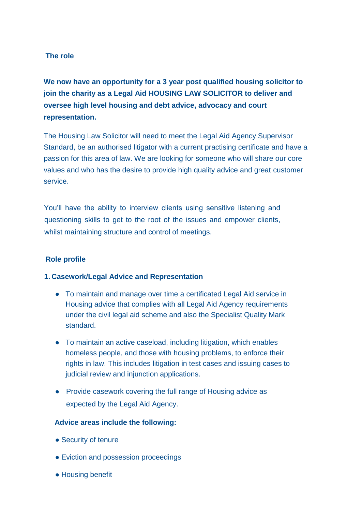## **The role**

**We now have an opportunity for a 3 year post qualified housing solicitor to join the charity as a Legal Aid HOUSING LAW SOLICITOR to deliver and oversee high level housing and debt advice, advocacy and court representation.**

The Housing Law Solicitor will need to meet the Legal Aid Agency Supervisor Standard, be an authorised litigator with a current practising certificate and have a passion for this area of law. We are looking for someone who will share our core values and who has the desire to provide high quality advice and great customer service.

You'll have the ability to interview clients using sensitive listening and questioning skills to get to the root of the issues and empower clients, whilst maintaining structure and control of meetings.

#### **Role profile**

#### **1. Casework/Legal Advice and Representation**

- To maintain and manage over time a certificated Legal Aid service in Housing advice that complies with all Legal Aid Agency requirements under the civil legal aid scheme and also the Specialist Quality Mark standard.
- To maintain an active caseload, including litigation, which enables homeless people, and those with housing problems, to enforce their rights in law. This includes litigation in test cases and issuing cases to judicial review and injunction applications.
- Provide casework covering the full range of Housing advice as expected by the Legal Aid Agency.

#### **Advice areas include the following:**

- Security of tenure
- Eviction and possession proceedings
- Housing benefit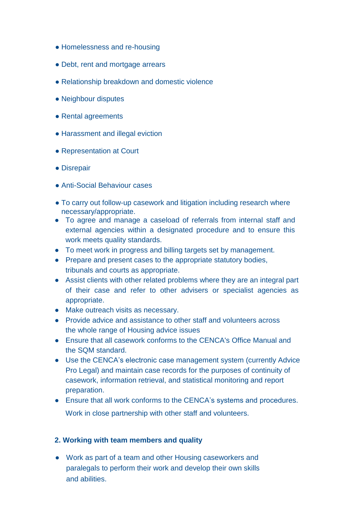- Homelessness and re-housing
- Debt, rent and mortgage arrears
- Relationship breakdown and domestic violence
- Neighbour disputes
- Rental agreements
- Harassment and illegal eviction
- Representation at Court
- Disrepair
- Anti-Social Behaviour cases
- To carry out follow-up casework and litigation including research where necessary/appropriate.
- To agree and manage a caseload of referrals from internal staff and external agencies within a designated procedure and to ensure this work meets quality standards.
- To meet work in progress and billing targets set by management.
- Prepare and present cases to the appropriate statutory bodies, tribunals and courts as appropriate.
- Assist clients with other related problems where they are an integral part of their case and refer to other advisers or specialist agencies as appropriate.
- Make outreach visits as necessary.
- Provide advice and assistance to other staff and volunteers across the whole range of Housing advice issues
- Ensure that all casework conforms to the CENCA's Office Manual and the SQM standard.
- Use the CENCA's electronic case management system (currently Advice Pro Legal) and maintain case records for the purposes of continuity of casework, information retrieval, and statistical monitoring and report preparation.
- Ensure that all work conforms to the CENCA's systems and procedures. Work in close partnership with other staff and volunteers.

#### **2. Working with team members and quality**

● Work as part of a team and other Housing caseworkers and paralegals to perform their work and develop their own skills and abilities.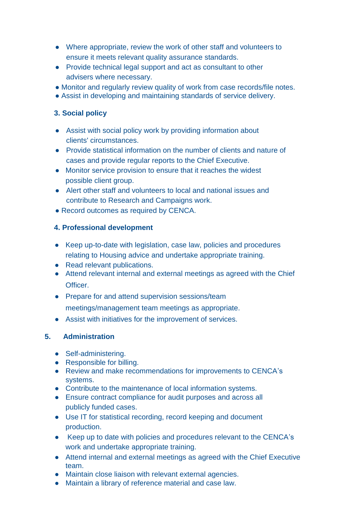- Where appropriate, review the work of other staff and volunteers to ensure it meets relevant quality assurance standards.
- Provide technical legal support and act as consultant to other advisers where necessary.
- Monitor and regularly review quality of work from case records/file notes.
- Assist in developing and maintaining standards of service delivery.

## **3. Social policy**

- Assist with social policy work by providing information about clients' circumstances.
- Provide statistical information on the number of clients and nature of cases and provide regular reports to the Chief Executive.
- Monitor service provision to ensure that it reaches the widest possible client group.
- Alert other staff and volunteers to local and national issues and contribute to Research and Campaigns work.
- Record outcomes as required by CENCA.

## **4. Professional development**

- Keep up-to-date with legislation, case law, policies and procedures relating to Housing advice and undertake appropriate training.
- Read relevant publications.
- Attend relevant internal and external meetings as agreed with the Chief Officer.
- Prepare for and attend supervision sessions/team meetings/management team meetings as appropriate.
- Assist with initiatives for the improvement of services.

# **5. Administration**

- Self-administering.
- Responsible for billing.
- Review and make recommendations for improvements to CENCA's systems.
- Contribute to the maintenance of local information systems.
- Ensure contract compliance for audit purposes and across all publicly funded cases.
- Use IT for statistical recording, record keeping and document production.
- Keep up to date with policies and procedures relevant to the CENCA's work and undertake appropriate training.
- Attend internal and external meetings as agreed with the Chief Executive team.
- Maintain close liaison with relevant external agencies.
- Maintain a library of reference material and case law.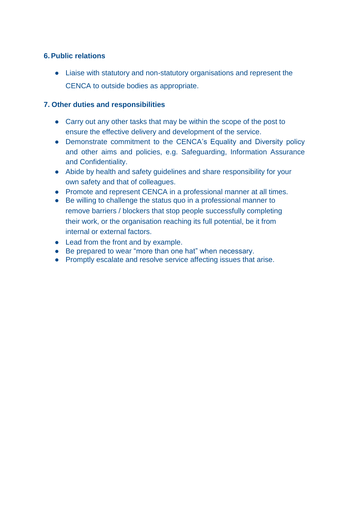## **6.Public relations**

● Liaise with statutory and non-statutory organisations and represent the CENCA to outside bodies as appropriate.

## **7. Other duties and responsibilities**

- Carry out any other tasks that may be within the scope of the post to ensure the effective delivery and development of the service.
- Demonstrate commitment to the CENCA's Equality and Diversity policy and other aims and policies, e.g. Safeguarding, Information Assurance and Confidentiality.
- Abide by health and safety guidelines and share responsibility for your own safety and that of colleagues.
- Promote and represent CENCA in a professional manner at all times.
- Be willing to challenge the status quo in a professional manner to remove barriers / blockers that stop people successfully completing their work, or the organisation reaching its full potential, be it from internal or external factors.
- Lead from the front and by example.
- Be prepared to wear "more than one hat" when necessary.
- Promptly escalate and resolve service affecting issues that arise.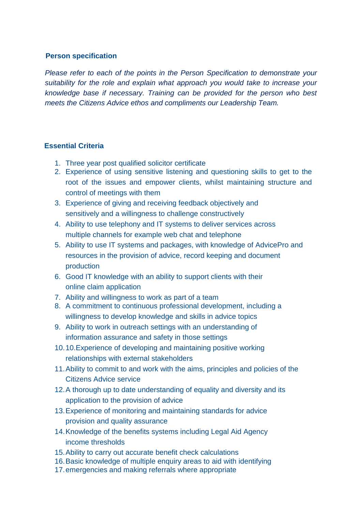#### **Person specification**

*Please refer to each of the points in the Person Specification to demonstrate your suitability for the role and explain what approach you would take to increase your knowledge base if necessary. Training can be provided for the person who best meets the Citizens Advice ethos and compliments our Leadership Team.*

#### **Essential Criteria**

- 1. Three year post qualified solicitor certificate
- 2. Experience of using sensitive listening and questioning skills to get to the root of the issues and empower clients, whilst maintaining structure and control of meetings with them
- 3. Experience of giving and receiving feedback objectively and sensitively and a willingness to challenge constructively
- 4. Ability to use telephony and IT systems to deliver services across multiple channels for example web chat and telephone
- 5. Ability to use IT systems and packages, with knowledge of AdvicePro and resources in the provision of advice, record keeping and document production
- 6. Good IT knowledge with an ability to support clients with their online claim application
- 7. Ability and willingness to work as part of a team
- 8. A commitment to continuous professional development, including a willingness to develop knowledge and skills in advice topics
- 9. Ability to work in outreach settings with an understanding of information assurance and safety in those settings
- 10.10.Experience of developing and maintaining positive working relationships with external stakeholders
- 11.Ability to commit to and work with the aims, principles and policies of the Citizens Advice service
- 12.A thorough up to date understanding of equality and diversity and its application to the provision of advice
- 13.Experience of monitoring and maintaining standards for advice provision and quality assurance
- 14.Knowledge of the benefits systems including Legal Aid Agency income thresholds
- 15.Ability to carry out accurate benefit check calculations
- 16.Basic knowledge of multiple enquiry areas to aid with identifying
- 17.emergencies and making referrals where appropriate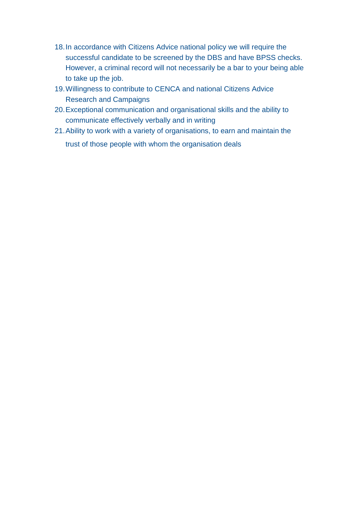- 18.In accordance with Citizens Advice national policy we will require the successful candidate to be screened by the DBS and have BPSS checks. However, a criminal record will not necessarily be a bar to your being able to take up the job.
- 19.Willingness to contribute to CENCA and national Citizens Advice Research and Campaigns
- 20.Exceptional communication and organisational skills and the ability to communicate effectively verbally and in writing
- 21.Ability to work with a variety of organisations, to earn and maintain the trust of those people with whom the organisation deals